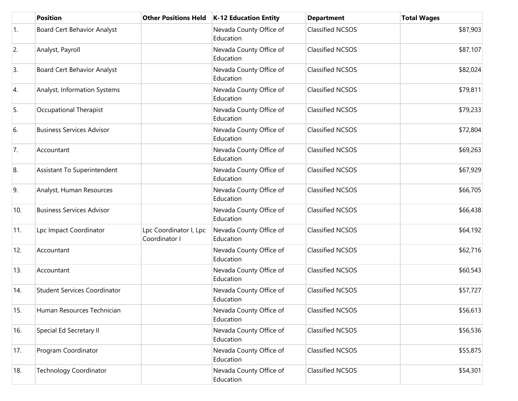|                  | <b>Position</b>                     | <b>Other Positions Held</b>             | <b>K-12 Education Entity</b>         | <b>Department</b>       | <b>Total Wages</b> |
|------------------|-------------------------------------|-----------------------------------------|--------------------------------------|-------------------------|--------------------|
| $\overline{1}$ . | Board Cert Behavior Analyst         |                                         | Nevada County Office of<br>Education | <b>Classified NCSOS</b> | \$87,903           |
| 2.               | Analyst, Payroll                    |                                         | Nevada County Office of<br>Education | <b>Classified NCSOS</b> | \$87,107           |
| 3.               | <b>Board Cert Behavior Analyst</b>  |                                         | Nevada County Office of<br>Education | <b>Classified NCSOS</b> | \$82,024           |
| 4.               | Analyst, Information Systems        |                                         | Nevada County Office of<br>Education | <b>Classified NCSOS</b> | \$79,811           |
| 5.               | Occupational Therapist              |                                         | Nevada County Office of<br>Education | <b>Classified NCSOS</b> | \$79,233           |
| 6.               | <b>Business Services Advisor</b>    |                                         | Nevada County Office of<br>Education | <b>Classified NCSOS</b> | \$72,804           |
| 7.               | Accountant                          |                                         | Nevada County Office of<br>Education | <b>Classified NCSOS</b> | \$69,263           |
| 8.               | Assistant To Superintendent         |                                         | Nevada County Office of<br>Education | <b>Classified NCSOS</b> | \$67,929           |
| 9.               | Analyst, Human Resources            |                                         | Nevada County Office of<br>Education | <b>Classified NCSOS</b> | \$66,705           |
| 10.              | <b>Business Services Advisor</b>    |                                         | Nevada County Office of<br>Education | <b>Classified NCSOS</b> | \$66,438           |
| 11.              | Lpc Impact Coordinator              | Lpc Coordinator I, Lpc<br>Coordinator I | Nevada County Office of<br>Education | <b>Classified NCSOS</b> | \$64,192           |
| 12.              | Accountant                          |                                         | Nevada County Office of<br>Education | <b>Classified NCSOS</b> | \$62,716           |
| 13.              | Accountant                          |                                         | Nevada County Office of<br>Education | <b>Classified NCSOS</b> | \$60,543           |
| 14.              | <b>Student Services Coordinator</b> |                                         | Nevada County Office of<br>Education | <b>Classified NCSOS</b> | \$57,727           |
| 15.              | Human Resources Technician          |                                         | Nevada County Office of<br>Education | <b>Classified NCSOS</b> | \$56,613           |
| 16.              | Special Ed Secretary II             |                                         | Nevada County Office of<br>Education | <b>Classified NCSOS</b> | \$56,536           |
| 17.              | Program Coordinator                 |                                         | Nevada County Office of<br>Education | <b>Classified NCSOS</b> | \$55,875           |
| 18.              | <b>Technology Coordinator</b>       |                                         | Nevada County Office of<br>Education | <b>Classified NCSOS</b> | \$54,301           |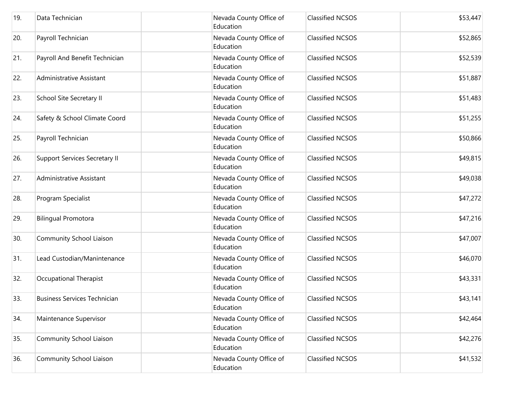| 19. | Data Technician                      | Nevada County Office of<br>Education | <b>Classified NCSOS</b> | \$53,447 |
|-----|--------------------------------------|--------------------------------------|-------------------------|----------|
| 20. | Payroll Technician                   | Nevada County Office of<br>Education | <b>Classified NCSOS</b> | \$52,865 |
| 21. | Payroll And Benefit Technician       | Nevada County Office of<br>Education | <b>Classified NCSOS</b> | \$52,539 |
| 22. | Administrative Assistant             | Nevada County Office of<br>Education | <b>Classified NCSOS</b> | \$51,887 |
| 23. | School Site Secretary II             | Nevada County Office of<br>Education | <b>Classified NCSOS</b> | \$51,483 |
| 24. | Safety & School Climate Coord        | Nevada County Office of<br>Education | <b>Classified NCSOS</b> | \$51,255 |
| 25. | Payroll Technician                   | Nevada County Office of<br>Education | <b>Classified NCSOS</b> | \$50,866 |
| 26. | <b>Support Services Secretary II</b> | Nevada County Office of<br>Education | <b>Classified NCSOS</b> | \$49,815 |
| 27. | Administrative Assistant             | Nevada County Office of<br>Education | <b>Classified NCSOS</b> | \$49,038 |
| 28. | Program Specialist                   | Nevada County Office of<br>Education | <b>Classified NCSOS</b> | \$47,272 |
| 29. | <b>Bilingual Promotora</b>           | Nevada County Office of<br>Education | <b>Classified NCSOS</b> | \$47,216 |
| 30. | Community School Liaison             | Nevada County Office of<br>Education | <b>Classified NCSOS</b> | \$47,007 |
| 31. | Lead Custodian/Manintenance          | Nevada County Office of<br>Education | <b>Classified NCSOS</b> | \$46,070 |
| 32. | Occupational Therapist               | Nevada County Office of<br>Education | <b>Classified NCSOS</b> | \$43,331 |
| 33. | <b>Business Services Technician</b>  | Nevada County Office of<br>Education | <b>Classified NCSOS</b> | \$43,141 |
| 34. | Maintenance Supervisor               | Nevada County Office of<br>Education | <b>Classified NCSOS</b> | \$42,464 |
| 35. | Community School Liaison             | Nevada County Office of<br>Education | <b>Classified NCSOS</b> | \$42,276 |
| 36. | Community School Liaison             | Nevada County Office of<br>Education | <b>Classified NCSOS</b> | \$41,532 |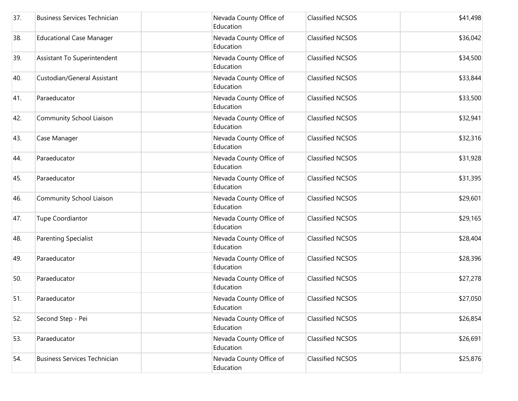| 37. | <b>Business Services Technician</b> | Nevada County Office of<br>Education | <b>Classified NCSOS</b> | \$41,498 |
|-----|-------------------------------------|--------------------------------------|-------------------------|----------|
| 38. | <b>Educational Case Manager</b>     | Nevada County Office of<br>Education | <b>Classified NCSOS</b> | \$36,042 |
| 39. | Assistant To Superintendent         | Nevada County Office of<br>Education | <b>Classified NCSOS</b> | \$34,500 |
| 40. | Custodian/General Assistant         | Nevada County Office of<br>Education | <b>Classified NCSOS</b> | \$33,844 |
| 41. | Paraeducator                        | Nevada County Office of<br>Education | <b>Classified NCSOS</b> | \$33,500 |
| 42. | Community School Liaison            | Nevada County Office of<br>Education | <b>Classified NCSOS</b> | \$32,941 |
| 43. | Case Manager                        | Nevada County Office of<br>Education | <b>Classified NCSOS</b> | \$32,316 |
| 44. | Paraeducator                        | Nevada County Office of<br>Education | <b>Classified NCSOS</b> | \$31,928 |
| 45. | Paraeducator                        | Nevada County Office of<br>Education | <b>Classified NCSOS</b> | \$31,395 |
| 46. | Community School Liaison            | Nevada County Office of<br>Education | <b>Classified NCSOS</b> | \$29,601 |
| 47. | <b>Tupe Coordiantor</b>             | Nevada County Office of<br>Education | <b>Classified NCSOS</b> | \$29,165 |
| 48. | <b>Parenting Specialist</b>         | Nevada County Office of<br>Education | <b>Classified NCSOS</b> | \$28,404 |
| 49. | Paraeducator                        | Nevada County Office of<br>Education | <b>Classified NCSOS</b> | \$28,396 |
| 50. | Paraeducator                        | Nevada County Office of<br>Education | <b>Classified NCSOS</b> | \$27,278 |
| 51. | Paraeducator                        | Nevada County Office of<br>Education | <b>Classified NCSOS</b> | \$27,050 |
| 52. | Second Step - Pei                   | Nevada County Office of<br>Education | <b>Classified NCSOS</b> | \$26,854 |
| 53. | Paraeducator                        | Nevada County Office of<br>Education | <b>Classified NCSOS</b> | \$26,691 |
| 54. | <b>Business Services Technician</b> | Nevada County Office of<br>Education | <b>Classified NCSOS</b> | \$25,876 |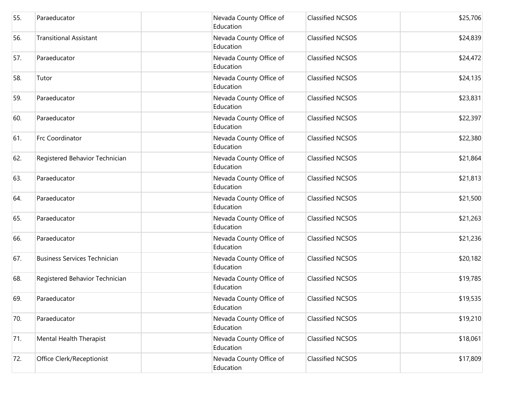| 55. | Paraeducator                        | Nevada County Office of<br>Education | <b>Classified NCSOS</b> | \$25,706 |
|-----|-------------------------------------|--------------------------------------|-------------------------|----------|
| 56. | <b>Transitional Assistant</b>       | Nevada County Office of<br>Education | <b>Classified NCSOS</b> | \$24,839 |
| 57. | Paraeducator                        | Nevada County Office of<br>Education | <b>Classified NCSOS</b> | \$24,472 |
| 58. | Tutor                               | Nevada County Office of<br>Education | <b>Classified NCSOS</b> | \$24,135 |
| 59. | Paraeducator                        | Nevada County Office of<br>Education | <b>Classified NCSOS</b> | \$23,831 |
| 60. | Paraeducator                        | Nevada County Office of<br>Education | <b>Classified NCSOS</b> | \$22,397 |
| 61. | Frc Coordinator                     | Nevada County Office of<br>Education | <b>Classified NCSOS</b> | \$22,380 |
| 62. | Registered Behavior Technician      | Nevada County Office of<br>Education | <b>Classified NCSOS</b> | \$21,864 |
| 63. | Paraeducator                        | Nevada County Office of<br>Education | <b>Classified NCSOS</b> | \$21,813 |
| 64. | Paraeducator                        | Nevada County Office of<br>Education | <b>Classified NCSOS</b> | \$21,500 |
| 65. | Paraeducator                        | Nevada County Office of<br>Education | <b>Classified NCSOS</b> | \$21,263 |
| 66. | Paraeducator                        | Nevada County Office of<br>Education | <b>Classified NCSOS</b> | \$21,236 |
| 67. | <b>Business Services Technician</b> | Nevada County Office of<br>Education | <b>Classified NCSOS</b> | \$20,182 |
| 68. | Registered Behavior Technician      | Nevada County Office of<br>Education | <b>Classified NCSOS</b> | \$19,785 |
| 69. | Paraeducator                        | Nevada County Office of<br>Education | <b>Classified NCSOS</b> | \$19,535 |
| 70. | Paraeducator                        | Nevada County Office of<br>Education | <b>Classified NCSOS</b> | \$19,210 |
| 71. | Mental Health Therapist             | Nevada County Office of<br>Education | <b>Classified NCSOS</b> | \$18,061 |
| 72. | Office Clerk/Receptionist           | Nevada County Office of<br>Education | <b>Classified NCSOS</b> | \$17,809 |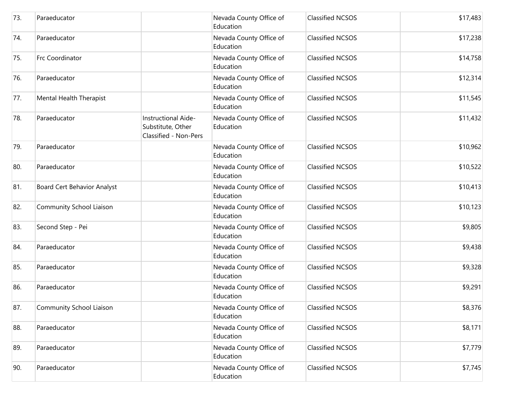| 73. | Paraeducator                |                                                                   | Nevada County Office of<br>Education | <b>Classified NCSOS</b> | \$17,483 |
|-----|-----------------------------|-------------------------------------------------------------------|--------------------------------------|-------------------------|----------|
| 74. | Paraeducator                |                                                                   | Nevada County Office of<br>Education | <b>Classified NCSOS</b> | \$17,238 |
| 75. | Frc Coordinator             |                                                                   | Nevada County Office of<br>Education | <b>Classified NCSOS</b> | \$14,758 |
| 76. | Paraeducator                |                                                                   | Nevada County Office of<br>Education | <b>Classified NCSOS</b> | \$12,314 |
| 77. | Mental Health Therapist     |                                                                   | Nevada County Office of<br>Education | <b>Classified NCSOS</b> | \$11,545 |
| 78. | Paraeducator                | Instructional Aide-<br>Substitute, Other<br>Classified - Non-Pers | Nevada County Office of<br>Education | <b>Classified NCSOS</b> | \$11,432 |
| 79. | Paraeducator                |                                                                   | Nevada County Office of<br>Education | <b>Classified NCSOS</b> | \$10,962 |
| 80. | Paraeducator                |                                                                   | Nevada County Office of<br>Education | <b>Classified NCSOS</b> | \$10,522 |
| 81. | Board Cert Behavior Analyst |                                                                   | Nevada County Office of<br>Education | <b>Classified NCSOS</b> | \$10,413 |
| 82. | Community School Liaison    |                                                                   | Nevada County Office of<br>Education | <b>Classified NCSOS</b> | \$10,123 |
| 83. | Second Step - Pei           |                                                                   | Nevada County Office of<br>Education | <b>Classified NCSOS</b> | \$9,805  |
| 84. | Paraeducator                |                                                                   | Nevada County Office of<br>Education | <b>Classified NCSOS</b> | \$9,438  |
| 85. | Paraeducator                |                                                                   | Nevada County Office of<br>Education | <b>Classified NCSOS</b> | \$9,328  |
| 86. | Paraeducator                |                                                                   | Nevada County Office of<br>Education | <b>Classified NCSOS</b> | \$9,291  |
| 87. | Community School Liaison    |                                                                   | Nevada County Office of<br>Education | <b>Classified NCSOS</b> | \$8,376  |
| 88. | Paraeducator                |                                                                   | Nevada County Office of<br>Education | <b>Classified NCSOS</b> | \$8,171  |
| 89. | Paraeducator                |                                                                   | Nevada County Office of<br>Education | <b>Classified NCSOS</b> | \$7,779  |
| 90. | Paraeducator                |                                                                   | Nevada County Office of<br>Education | <b>Classified NCSOS</b> | \$7,745  |